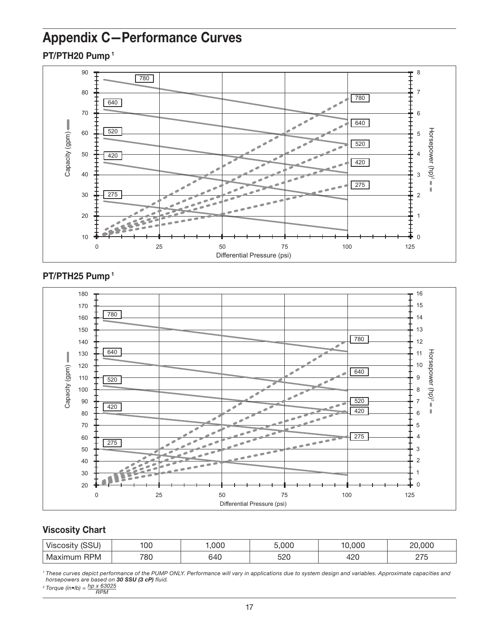# Appendix C—Performance Curves

PT/PTH20 Pump 1



#### PT/PTH25 Pump 1



### Viscosity Chart

| (0.01)<br><b>VISCOSITV</b><br>: ເວວບ. | '00 | .000 | ,000       | 00C         | 000<br>∩∩                            |
|---------------------------------------|-----|------|------------|-------------|--------------------------------------|
| <b>RPM</b><br>ма                      | 780 | 64C  | ≍กก<br>ວ∠ບ | 10c<br>11 L | $\sim$ $\sim$ $\sim$<br><u>_ , _</u> |

<sup>1</sup> These curves depict performance of the PUMP ONLY. Performance will vary in applications due to system design and variables. Approximate capacities and<br>horsepowers are based on **30 SSU (3 cP)** fluid.

*Torque (in•lb) = hp x 63025 RPM*